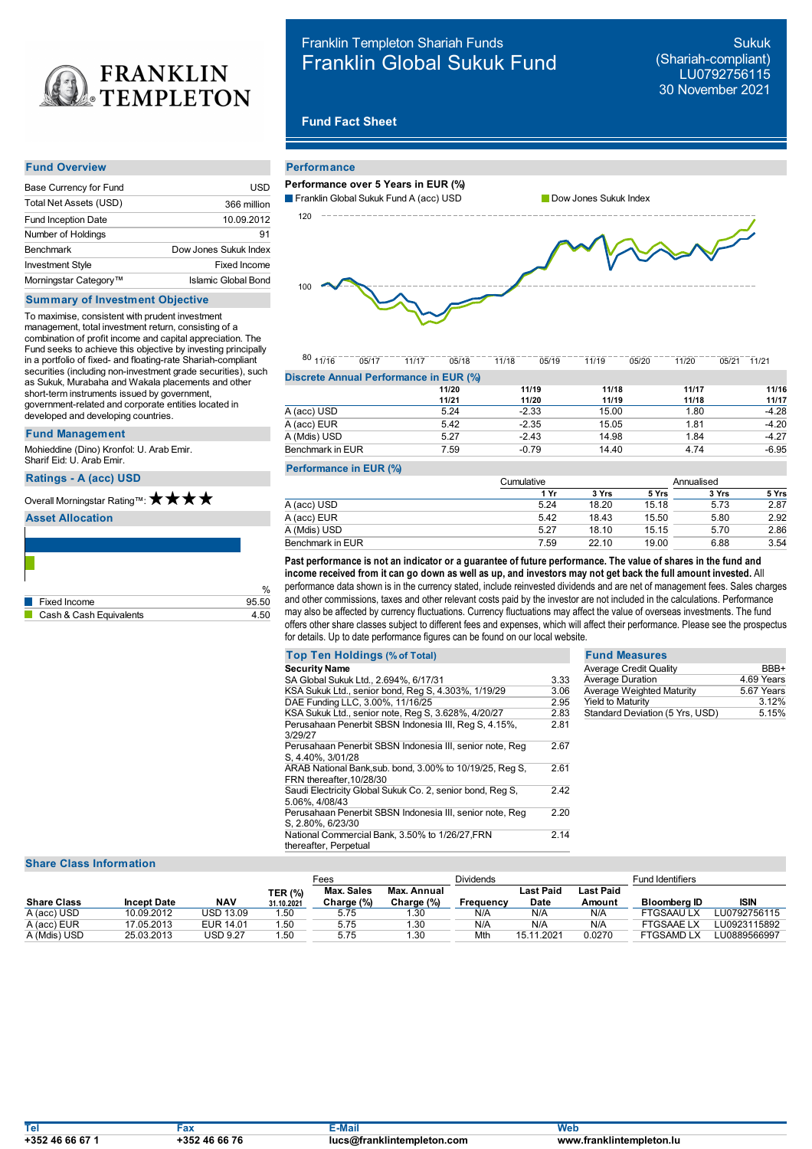

| Franklin Templeton Shariah Funds  |  |  |  |
|-----------------------------------|--|--|--|
| <b>Franklin Global Sukuk Fund</b> |  |  |  |

Sukuk (Shariah-compliant) LU0792756115 30 November 2021

# **Fund Fact Sheet**

#### **Fund Overview**

| Base Currency for Fund            | USD                   |
|-----------------------------------|-----------------------|
| Total Net Assets (USD)            | 366 million           |
| Fund Inception Date               | 10.09.2012            |
| Number of Holdings                | 91                    |
| <b>Benchmark</b>                  | Dow Jones Sukuk Index |
| <b>Investment Style</b>           | Fixed Income          |
| Morningstar Category <sup>™</sup> | Islamic Global Bond   |

## **Summary of Investment Objective**

To maximise, consistent with prudent investment management, total investment return, consisting of a combination of profit income and capital appreciation. The Fund seeks to achieve this objective by investing principally in a portfolio of fixed- and floating-rate Shariah-compliant securities (including non-investment grade securities), such as Sukuk, Murabaha and Wakala placements and other short-term instruments issued by government, government-related and corporate entities located in developed and developing countries.

### **Fund Management**

Mohieddine (Dino) Kronfol: U. Arab Emir. Sharif Eid: U. Arab Emir.

### **Ratings -A (acc) USD**

# Overall Morningstar Rating™:  $\bigstar \star \star \star$

#### **Asset Allocation**

| Fixed Income            | 95.50 |
|-------------------------|-------|
| Cash & Cash Equivalents | . 50  |

| <b>Performance</b>                     |                       |
|----------------------------------------|-----------------------|
| Performance over 5 Years in EUR (%)    |                       |
| Franklin Global Sukuk Fund A (acc) USD | Dow Jones Sukuk Index |
| 120                                    |                       |
| 100                                    |                       |

80 11/16 05/17 11/17 05/18 11/18 05/19 11/19 05/20 11/20 05/21 11/21 **Discrete Annual Performance in EUR (%)**

|                  | 11/20 | 11/19   | 11/18 | 11/17 | 11/16   |
|------------------|-------|---------|-------|-------|---------|
|                  | 11/21 | 11/20   | 11/19 | 11/18 | 11/17   |
| A (acc) USD      | 5.24  | $-2.33$ | 15.00 | 1.80  | $-4.28$ |
| A (acc) EUR      | 5.42  | $-2.35$ | 15.05 | 1.81  | $-4.20$ |
| A (Mdis) USD     | 5.27  | $-2.43$ | 14.98 | 1.84  | $-4.27$ |
| Benchmark in EUR | 7.59  | $-0.79$ | 14.40 | 4.74  | $-6.95$ |
|                  |       |         |       |       |         |

### **Performance in EUR (%)**

|                  | Cumulative |       |       | Annualised |       |  |
|------------------|------------|-------|-------|------------|-------|--|
|                  | 1 Yr       | 3 Yrs | 5 Yrs | 3 Yrs      | 5 Yrs |  |
| A (acc) USD      | 5.24       | 18.20 | 15.18 | 5.73       | 2.87  |  |
| A (acc) EUR      | 5.42       | 18.43 | 15.50 | 5.80       | 2.92  |  |
| A (Mdis) USD     | 5.27       | 18.10 | 15.15 | 5.70       | 2.86  |  |
| Benchmark in EUR | 7.59       | 22.10 | 19.00 | 6.88       | 3.54  |  |

 $_{\%}$  performance data shown is in the currency stated, include reinvested dividends and are net of management fees. Sales charges income received from it can go down as well as up, and investors may not get back the full amount invested. All<br>performance data shown is in the currency stated, include reinvested dividends and are net of management fees. and other commissions, taxes and other relevant costs paid by the investor are not included in the calculations. Performance may also be affected by currency fluctuations. Currency fluctuations may affect the value of overseas investments. The fund offers other share classes subject to different fees and expenses, which will affect their performance. Please see the prospectus for details. Up to date performance figures can be found on our local website.

| <b>Top Ten Holdings (% of Total)</b>                                                |      | <b>Fund Measures</b>            |            |
|-------------------------------------------------------------------------------------|------|---------------------------------|------------|
| <b>Security Name</b>                                                                |      | <b>Average Credit Quality</b>   | BBB+       |
| SA Global Sukuk Ltd., 2.694%, 6/17/31                                               | 3.33 | <b>Average Duration</b>         | 4.69 Years |
| KSA Sukuk Ltd., senior bond, Reg S, 4.303%, 1/19/29                                 | 3.06 | Average Weighted Maturity       | 5.67 Years |
| DAE Funding LLC, 3.00%, 11/16/25                                                    | 2.95 | <b>Yield to Maturity</b>        | 3.12%      |
| KSA Sukuk Ltd., senior note, Reg S, 3.628%, 4/20/27                                 | 2.83 | Standard Deviation (5 Yrs, USD) | 5.15%      |
| Perusahaan Penerbit SBSN Indonesia III, Reg S, 4.15%,<br>3/29/27                    | 2.81 |                                 |            |
| Perusahaan Penerbit SBSN Indonesia III, senior note, Reg<br>S, 4.40%, 3/01/28       | 2.67 |                                 |            |
| ARAB National Bank, sub. bond, 3.00% to 10/19/25, Reg S,<br>FRN thereafter.10/28/30 | 2.61 |                                 |            |
| Saudi Electricity Global Sukuk Co. 2, senior bond, Reg S,<br>5.06%, 4/08/43         | 2.42 |                                 |            |
| Perusahaan Penerbit SBSN Indonesia III, senior note, Reg<br>S, 2.80%, 6/23/30       | 2.20 |                                 |            |
| National Commercial Bank, 3.50% to 1/26/27, FRN<br>thereafter, Perpetual            | 2.14 |                                 |            |

# **Share Class Information**

|                    |                    |            |                | Fees       |             | <b>Dividends</b> |            |           | <b>Fund Identifiers</b> |              |
|--------------------|--------------------|------------|----------------|------------|-------------|------------------|------------|-----------|-------------------------|--------------|
|                    |                    |            | <b>TER (%)</b> | Max. Sales | Max. Annual |                  | Last Paid  | Last Paid |                         |              |
| <b>Share Class</b> | <b>Incept Date</b> | <b>NAV</b> | 31.10.2021     | Charge (%) | Charge (%)  | Frequency        | Date       | Amount    | <b>Bloomberg ID</b>     | <b>ISIN</b>  |
| A (acc) USD        | 10.09.2012         | USD 13.09  | 50،،           | 5.75       | 30.،        | N/A              | N/A        | N/A       | FTGSAAU LX              | LU0792756115 |
| A (acc) EUR        | 17.05.2013         | EUR 14.01  | 50،،           | 5.75       | 1.30        | N/A              | N/A        | N/A       | <b>FTGSAAELX</b>        | LU0923115892 |
| A (Mdis) USD       | 25.03.2013         | USD 9.27   | 50،،           | 5.75       | 1.30        | Mth              | 15.11.2021 | 0.0270    | <b>FTGSAMD LX</b>       | ∟U0889566997 |